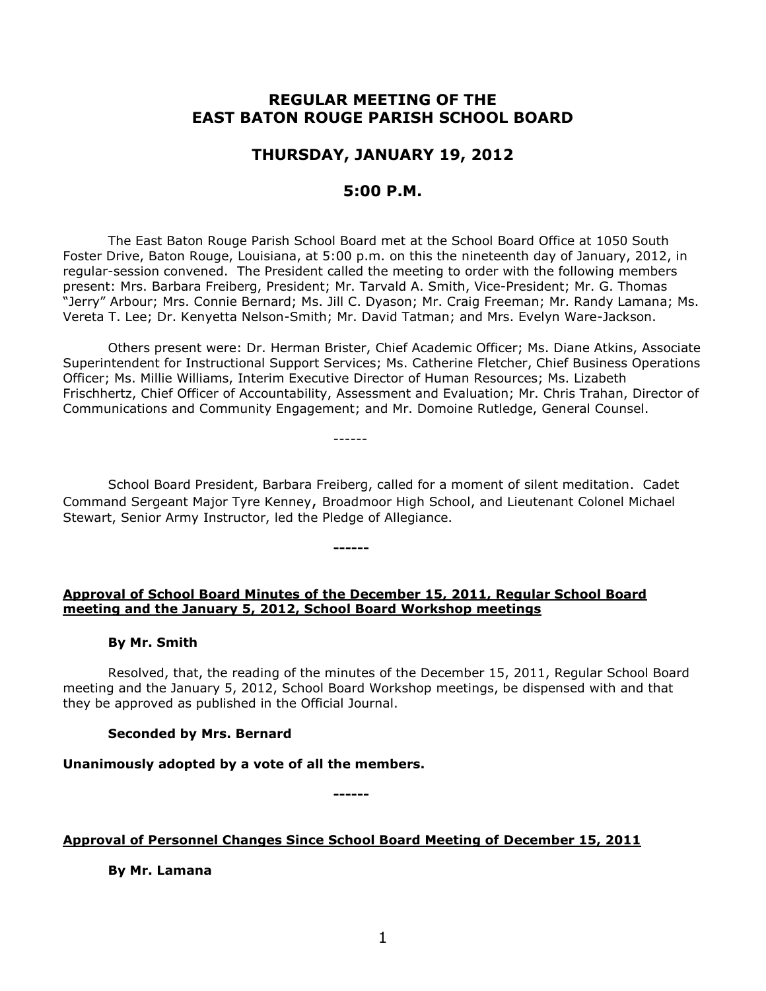# **REGULAR MEETING OF THE EAST BATON ROUGE PARISH SCHOOL BOARD**

# **THURSDAY, JANUARY 19, 2012**

## **5:00 P.M.**

The East Baton Rouge Parish School Board met at the School Board Office at 1050 South Foster Drive, Baton Rouge, Louisiana, at 5:00 p.m. on this the nineteenth day of January, 2012, in regular-session convened. The President called the meeting to order with the following members present: Mrs. Barbara Freiberg, President; Mr. Tarvald A. Smith, Vice-President; Mr. G. Thomas "Jerry" Arbour; Mrs. Connie Bernard; Ms. Jill C. Dyason; Mr. Craig Freeman; Mr. Randy Lamana; Ms. Vereta T. Lee; Dr. Kenyetta Nelson-Smith; Mr. David Tatman; and Mrs. Evelyn Ware-Jackson.

Others present were: Dr. Herman Brister, Chief Academic Officer; Ms. Diane Atkins, Associate Superintendent for Instructional Support Services; Ms. Catherine Fletcher, Chief Business Operations Officer; Ms. Millie Williams, Interim Executive Director of Human Resources; Ms. Lizabeth Frischhertz, Chief Officer of Accountability, Assessment and Evaluation; Mr. Chris Trahan, Director of Communications and Community Engagement; and Mr. Domoine Rutledge, General Counsel.

School Board President, Barbara Freiberg, called for a moment of silent meditation. Cadet Command Sergeant Major Tyre Kenney, Broadmoor High School, and Lieutenant Colonel Michael Stewart, Senior Army Instructor, led the Pledge of Allegiance.

------

## **Approval of School Board Minutes of the December 15, 2011, Regular School Board meeting and the January 5, 2012, School Board Workshop meetings**

**------**

## **By Mr. Smith**

Resolved, that, the reading of the minutes of the December 15, 2011, Regular School Board meeting and the January 5, 2012, School Board Workshop meetings, be dispensed with and that they be approved as published in the Official Journal.

## **Seconded by Mrs. Bernard**

## **Unanimously adopted by a vote of all the members.**

**------**

## **Approval of Personnel Changes Since School Board Meeting of December 15, 2011**

**By Mr. Lamana**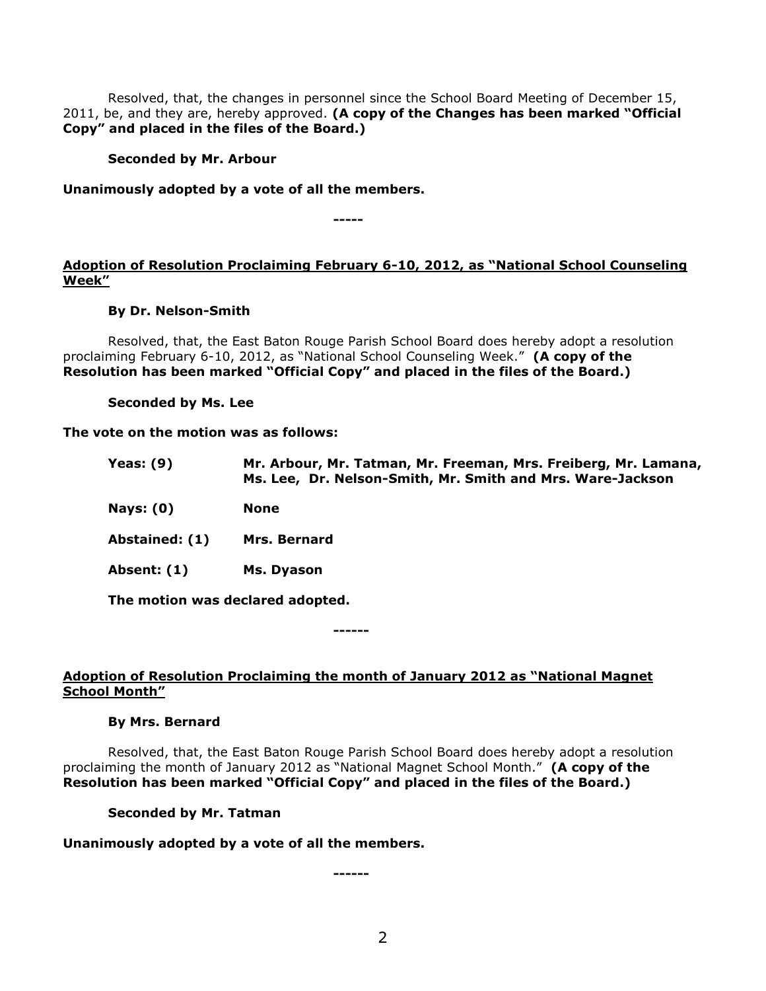Resolved, that, the changes in personnel since the School Board Meeting of December 15, 2011, be, and they are, hereby approved. **(A copy of the Changes has been marked "Official Copy" and placed in the files of the Board.)**

## **Seconded by Mr. Arbour**

## **Unanimously adopted by a vote of all the members.**

**-----**

## **Adoption of Resolution Proclaiming February 6-10, 2012, as "National School Counseling Week"**

### **By Dr. Nelson-Smith**

Resolved, that, the East Baton Rouge Parish School Board does hereby adopt a resolution proclaiming February 6-10, 2012, as "National School Counseling Week." **(A copy of the Resolution has been marked "Official Copy" and placed in the files of the Board.)**

**Seconded by Ms. Lee**

#### **The vote on the motion was as follows:**

| <b>Yeas: (9)</b>                 | Mr. Arbour, Mr. Tatman, Mr. Freeman, Mrs. Freiberg, Mr. Lamana,<br>Ms. Lee, Dr. Nelson-Smith, Mr. Smith and Mrs. Ware-Jackson |
|----------------------------------|-------------------------------------------------------------------------------------------------------------------------------|
| <b>Nays: (0)</b>                 | None                                                                                                                          |
| Abstained: (1)                   | <b>Mrs. Bernard</b>                                                                                                           |
| Absent: (1)                      | Ms. Dyason                                                                                                                    |
| The motion was declared adopted. |                                                                                                                               |

**------**

## **Adoption of Resolution Proclaiming the month of January 2012 as "National Magnet School Month"**

#### **By Mrs. Bernard**

Resolved, that, the East Baton Rouge Parish School Board does hereby adopt a resolution proclaiming the month of January 2012 as "National Magnet School Month." **(A copy of the Resolution has been marked "Official Copy" and placed in the files of the Board.)**

## **Seconded by Mr. Tatman**

## **Unanimously adopted by a vote of all the members.**

**------**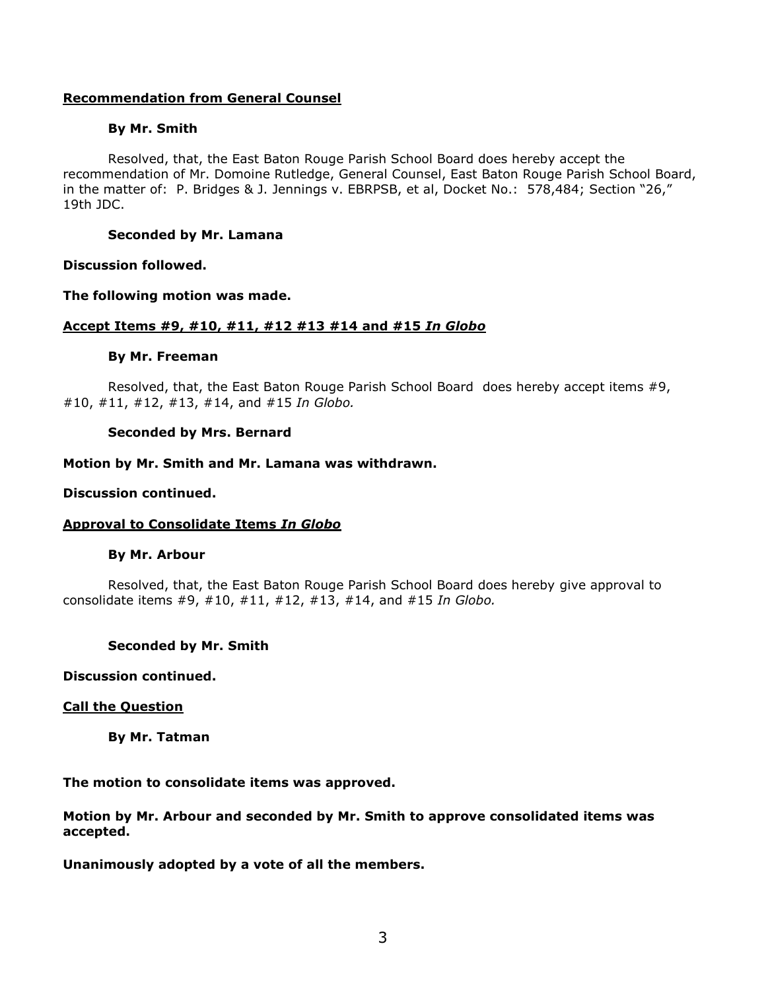## **Recommendation from General Counsel**

### **By Mr. Smith**

Resolved, that, the East Baton Rouge Parish School Board does hereby accept the recommendation of Mr. Domoine Rutledge, General Counsel, East Baton Rouge Parish School Board, in the matter of: P. Bridges & J. Jennings v. EBRPSB, et al, Docket No.: 578,484; Section "26," 19th JDC.

## **Seconded by Mr. Lamana**

#### **Discussion followed.**

**The following motion was made.**

### **Accept Items #9, #10, #11, #12 #13 #14 and #15** *In Globo*

### **By Mr. Freeman**

Resolved, that, the East Baton Rouge Parish School Board does hereby accept items #9, #10, #11, #12, #13, #14, and #15 *In Globo.*

### **Seconded by Mrs. Bernard**

### **Motion by Mr. Smith and Mr. Lamana was withdrawn.**

#### **Discussion continued.**

## **Approval to Consolidate Items** *In Globo*

#### **By Mr. Arbour**

Resolved, that, the East Baton Rouge Parish School Board does hereby give approval to consolidate items #9, #10, #11, #12, #13, #14, and #15 *In Globo.*

#### **Seconded by Mr. Smith**

### **Discussion continued.**

#### **Call the Question**

**By Mr. Tatman**

**The motion to consolidate items was approved.**

**Motion by Mr. Arbour and seconded by Mr. Smith to approve consolidated items was accepted.**

**Unanimously adopted by a vote of all the members.**